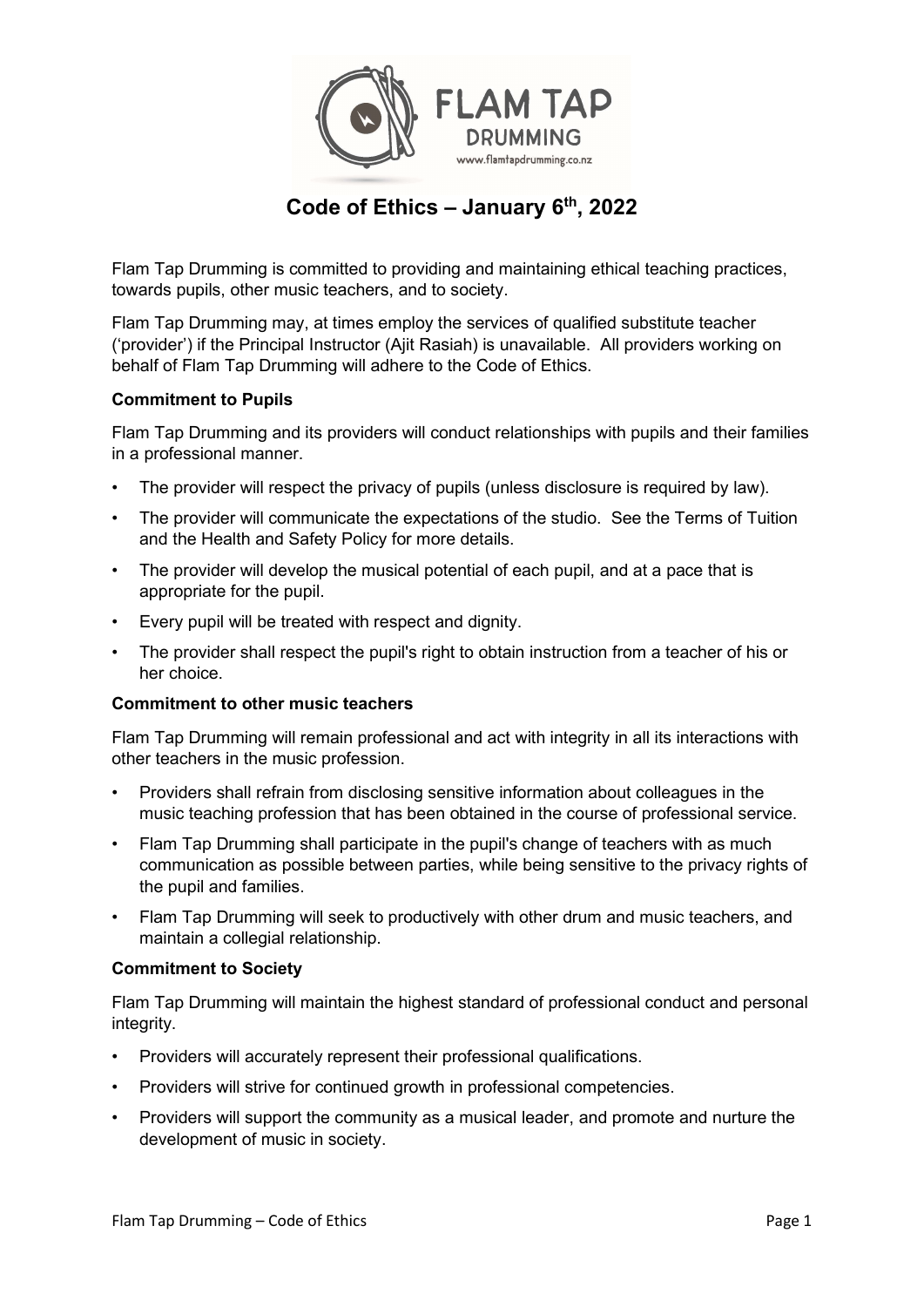

# Code of Ethics  $-$  January 6<sup>th</sup>, 2022

Flam Tap Drumming is committed to providing and maintaining ethical teaching practices, towards pupils, other music teachers, and to society.

Flam Tap Drumming may, at times employ the services of qualified substitute teacher ('provider') if the Principal Instructor (Ajit Rasiah) is unavailable. All providers working on behalf of Flam Tap Drumming will adhere to the Code of Ethics.

# Commitment to Pupils

Flam Tap Drumming and its providers will conduct relationships with pupils and their families in a professional manner.

- The provider will respect the privacy of pupils (unless disclosure is required by law).
- The provider will communicate the expectations of the studio. See the Terms of Tuition and the Health and Safety Policy for more details.
- The provider will develop the musical potential of each pupil, and at a pace that is appropriate for the pupil.
- Every pupil will be treated with respect and dignity.
- The provider shall respect the pupil's right to obtain instruction from a teacher of his or her choice.

# Commitment to other music teachers

Flam Tap Drumming will remain professional and act with integrity in all its interactions with other teachers in the music profession.

- Providers shall refrain from disclosing sensitive information about colleagues in the music teaching profession that has been obtained in the course of professional service.
- Flam Tap Drumming shall participate in the pupil's change of teachers with as much communication as possible between parties, while being sensitive to the privacy rights of the pupil and families.
- Flam Tap Drumming will seek to productively with other drum and music teachers, and maintain a collegial relationship.

# Commitment to Society

Flam Tap Drumming will maintain the highest standard of professional conduct and personal integrity.

- Providers will accurately represent their professional qualifications.
- Providers will strive for continued growth in professional competencies.
- Providers will support the community as a musical leader, and promote and nurture the development of music in society.